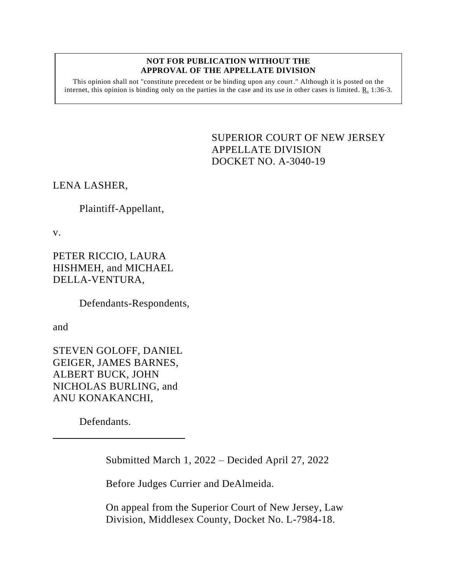## **NOT FOR PUBLICATION WITHOUT THE APPROVAL OF THE APPELLATE DIVISION**

This opinion shall not "constitute precedent or be binding upon any court." Although it is posted on the internet, this opinion is binding only on the parties in the case and its use in other cases is limited.  $R_1$  1:36-3.

> <span id="page-0-0"></span>SUPERIOR COURT OF NEW JERSEY APPELLATE DIVISION DOCKET NO. A-3040-19

LENA LASHER,

Plaintiff-Appellant,

v.

PETER RICCIO, LAURA HISHMEH, and MICHAEL DELLA-VENTURA,

Defendants-Respondents,

and

STEVEN GOLOFF, DANIEL GEIGER, JAMES BARNES, ALBERT BUCK, JOHN NICHOLAS BURLING, and ANU KONAKANCHI,

Defendants.

Submitted March 1, 2022 – Decided April 27, 2022

Before Judges Currier and DeAlmeida.

On appeal from the Superior Court of New Jersey, Law Division, Middlesex County, Docket No. L-7984-18.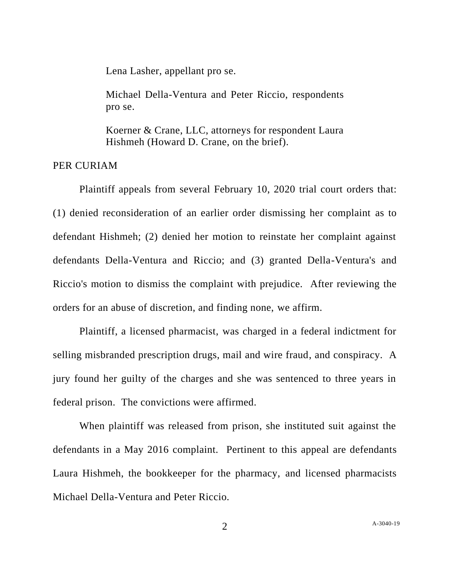Lena Lasher, appellant pro se.

Michael Della-Ventura and Peter Riccio, respondents pro se.

Koerner & Crane, LLC, attorneys for respondent Laura Hishmeh (Howard D. Crane, on the brief).

PER CURIAM

Plaintiff appeals from several February 10, 2020 trial court orders that: (1) denied reconsideration of an earlier order dismissing her complaint as to defendant Hishmeh; (2) denied her motion to reinstate her complaint against defendants Della-Ventura and Riccio; and (3) granted Della-Ventura's and Riccio's motion to dismiss the complaint with prejudice. After reviewing the orders for an abuse of discretion, and finding none, we affirm.

Plaintiff, a licensed pharmacist, was charged in a federal indictment for selling misbranded prescription drugs, mail and wire fraud, and conspiracy. A jury found her guilty of the charges and she was sentenced to three years in federal prison. The convictions were affirmed.

When plaintiff was released from prison, she instituted suit against the defendants in a May 2016 complaint. Pertinent to this appeal are defendants Laura Hishmeh, the bookkeeper for the pharmacy, and licensed pharmacists Michael Della-Ventura and Peter Riccio.

2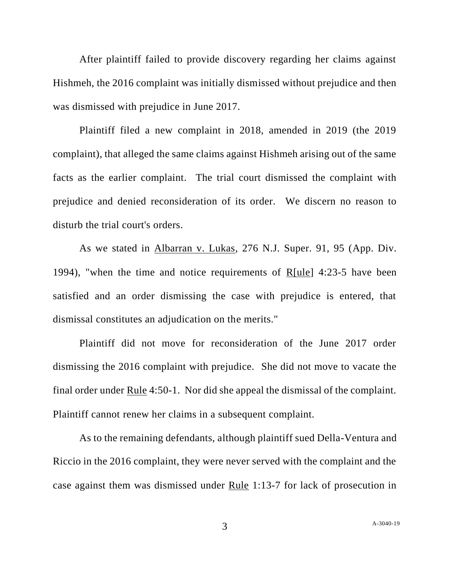After plaintiff failed to provide discovery regarding her claims against Hishmeh, the 2016 complaint was initially dismissed without prejudice and then was dismissed with prejudice in June 2017.

Plaintiff filed a new complaint in 2018, amended in 2019 (the 2019 complaint), that alleged the same claims against Hishmeh arising out of the same facts as the earlier complaint. The trial court dismissed the complaint with prejudice and denied reconsideration of its order. We discern no reason to disturb the trial court's orders.

As we stated in Albarran v. Lukas, 276 N.J. Super. 91, 95 (App. Div. 1994), "when the time and notice requirements of R[ule] 4:23-5 have been satisfied and an order dismissing the case with prejudice is entered, that dismissal constitutes an adjudication on the merits."

Plaintiff did not move for reconsideration of the June 2017 order dismissing the 2016 complaint with prejudice. She did not move to vacate the final order under Rule 4:50-1. Nor did she appeal the dismissal of the complaint. Plaintiff cannot renew her claims in a subsequent complaint.

As to the remaining defendants, although plaintiff sued Della-Ventura and Riccio in the 2016 complaint, they were never served with the complaint and the case against them was dismissed under Rule 1:13-7 for lack of prosecution in

3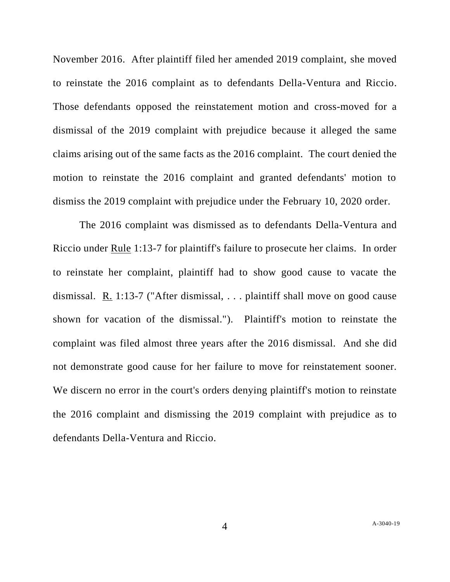November 2016. After plaintiff filed her amended 2019 complaint, she moved to reinstate the 2016 complaint as to defendants Della-Ventura and Riccio. Those defendants opposed the reinstatement motion and cross-moved for a dismissal of the 2019 complaint with prejudice because it alleged the same claims arising out of the same facts as the 2016 complaint. The court denied the motion to reinstate the 2016 complaint and granted defendants' motion to dismiss the 2019 complaint with prejudice under the February 10, 2020 order.

The 2016 complaint was dismissed as to defendants Della-Ventura and Riccio under Rule 1:13-7 for plaintiff's failure to prosecute her claims. In order to reinstate her complaint, plaintiff had to show good cause to vacate the dismissal. R. 1:13-7 ("After dismissal, . . . plaintiff shall move on good cause shown for vacation of the dismissal."). Plaintiff's motion to reinstate the complaint was filed almost three years after the 2016 dismissal. And she did not demonstrate good cause for her failure to move for reinstatement sooner. We discern no error in the court's orders denying plaintiff's motion to reinstate the 2016 complaint and dismissing the 2019 complaint with prejudice as to defendants Della-Ventura and Riccio.